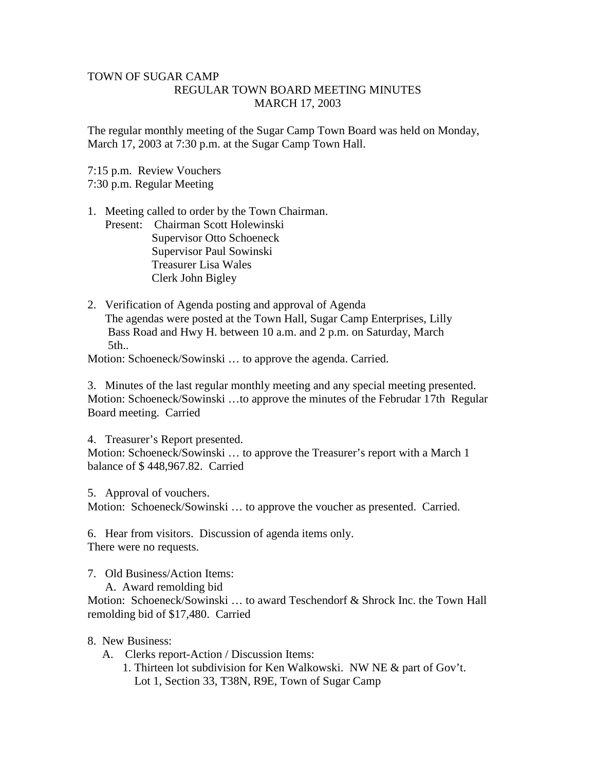## TOWN OF SUGAR CAMP REGULAR TOWN BOARD MEETING MINUTES MARCH 17, 2003

The regular monthly meeting of the Sugar Camp Town Board was held on Monday, March 17, 2003 at 7:30 p.m. at the Sugar Camp Town Hall.

7:15 p.m. Review Vouchers 7:30 p.m. Regular Meeting

1. Meeting called to order by the Town Chairman.

 Present: Chairman Scott Holewinski Supervisor Otto Schoeneck Supervisor Paul Sowinski Treasurer Lisa Wales Clerk John Bigley

2. Verification of Agenda posting and approval of Agenda The agendas were posted at the Town Hall, Sugar Camp Enterprises, Lilly Bass Road and Hwy H. between 10 a.m. and 2 p.m. on Saturday, March 5th..

Motion: Schoeneck/Sowinski … to approve the agenda. Carried.

3. Minutes of the last regular monthly meeting and any special meeting presented. Motion: Schoeneck/Sowinski …to approve the minutes of the Februdar 17th Regular Board meeting. Carried

4. Treasurer's Report presented. Motion: Schoeneck/Sowinski … to approve the Treasurer's report with a March 1 balance of \$ 448,967.82. Carried

5. Approval of vouchers.

Motion: Schoeneck/Sowinski … to approve the voucher as presented. Carried.

6. Hear from visitors. Discussion of agenda items only. There were no requests.

7. Old Business/Action Items:

A. Award remolding bid

Motion: Schoeneck/Sowinski … to award Teschendorf & Shrock Inc. the Town Hall remolding bid of \$17,480. Carried

## 8. New Business:

- A. Clerks report-Action / Discussion Items:
	- 1. Thirteen lot subdivision for Ken Walkowski. NW NE & part of Gov't. Lot 1, Section 33, T38N, R9E, Town of Sugar Camp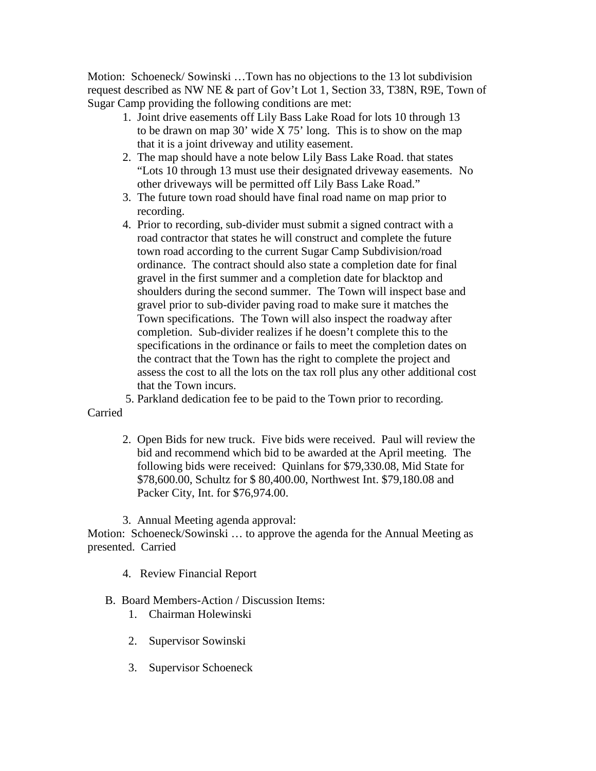Motion: Schoeneck/ Sowinski …Town has no objections to the 13 lot subdivision request described as NW NE & part of Gov't Lot 1, Section 33, T38N, R9E, Town of Sugar Camp providing the following conditions are met:

- 1. Joint drive easements off Lily Bass Lake Road for lots 10 through 13 to be drawn on map 30' wide X 75' long. This is to show on the map that it is a joint driveway and utility easement.
- 2. The map should have a note below Lily Bass Lake Road. that states "Lots 10 through 13 must use their designated driveway easements. No other driveways will be permitted off Lily Bass Lake Road."
- 3. The future town road should have final road name on map prior to recording.
- 4. Prior to recording, sub-divider must submit a signed contract with a road contractor that states he will construct and complete the future town road according to the current Sugar Camp Subdivision/road ordinance. The contract should also state a completion date for final gravel in the first summer and a completion date for blacktop and shoulders during the second summer. The Town will inspect base and gravel prior to sub-divider paving road to make sure it matches the Town specifications. The Town will also inspect the roadway after completion. Sub-divider realizes if he doesn't complete this to the specifications in the ordinance or fails to meet the completion dates on the contract that the Town has the right to complete the project and assess the cost to all the lots on the tax roll plus any other additional cost that the Town incurs.

5. Parkland dedication fee to be paid to the Town prior to recording.

## Carried

- 2. Open Bids for new truck. Five bids were received. Paul will review the bid and recommend which bid to be awarded at the April meeting. The following bids were received: Quinlans for \$79,330.08, Mid State for \$78,600.00, Schultz for \$ 80,400.00, Northwest Int. \$79,180.08 and Packer City, Int. for \$76,974.00.
- 3. Annual Meeting agenda approval:

Motion: Schoeneck/Sowinski … to approve the agenda for the Annual Meeting as presented. Carried

4. Review Financial Report

## B. Board Members-Action / Discussion Items:

- 1. Chairman Holewinski
- 2. Supervisor Sowinski
- 3. Supervisor Schoeneck